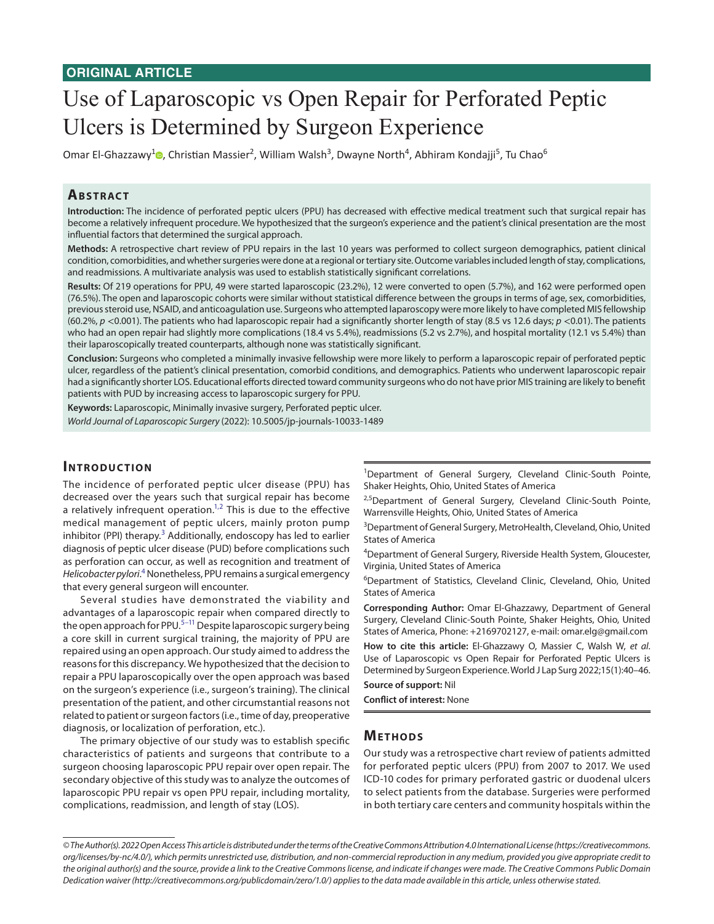# Use of Laparoscopic vs Open Repair for Perforated Peptic Ulcers is Determined by Surgeon Experience

Omar El-Ghazzawy<sup>[1](https://orcid.org/0000-0002-8003-0589)</sup>®, Christian Massier<sup>2</sup>, William Walsh<sup>3</sup>, Dwayne North<sup>4</sup>, Abhiram Kondajji<sup>5</sup>, Tu Chao<sup>6</sup>

# **ABSTRACT**

**Introduction:** The incidence of perforated peptic ulcers (PPU) has decreased with effective medical treatment such that surgical repair has become a relatively infrequent procedure. We hypothesized that the surgeon's experience and the patient's clinical presentation are the most influential factors that determined the surgical approach.

**Methods:** A retrospective chart review of PPU repairs in the last 10 years was performed to collect surgeon demographics, patient clinical condition, comorbidities, and whether surgeries were done at a regional or tertiary site. Outcome variables included length of stay, complications, and readmissions. A multivariate analysis was used to establish statistically significant correlations.

**Results:** Of 219 operations for PPU, 49 were started laparoscopic (23.2%), 12 were converted to open (5.7%), and 162 were performed open (76.5%). The open and laparoscopic cohorts were similar without statistical difference between the groups in terms of age, sex, comorbidities, previous steroid use, NSAID, and anticoagulation use. Surgeons who attempted laparoscopy were more likely to have completed MIS fellowship (60.2%, *p* <0.001). The patients who had laparoscopic repair had a significantly shorter length of stay (8.5 vs 12.6 days; *p* <0.01). The patients who had an open repair had slightly more complications (18.4 vs 5.4%), readmissions (5.2 vs 2.7%), and hospital mortality (12.1 vs 5.4%) than their laparoscopically treated counterparts, although none was statistically significant.

**Conclusion:** Surgeons who completed a minimally invasive fellowship were more likely to perform a laparoscopic repair of perforated peptic ulcer, regardless of the patient's clinical presentation, comorbid conditions, and demographics. Patients who underwent laparoscopic repair had a significantly shorter LOS. Educational efforts directed toward community surgeons who do not have prior MIS training are likely to benefit patients with PUD by increasing access to laparoscopic surgery for PPU.

**Keywords:** Laparoscopic, Minimally invasive surgery, Perforated peptic ulcer. *World Journal of Laparoscopic Surgery* (2022): 10.5005/jp-journals-10033-1489

## **INTRODUCTION**

The incidence of perforated peptic ulcer disease (PPU) has decreased over the years such that surgical repair has become a relatively infrequent operation.<sup>[1,](#page-5-0)[2](#page-5-1)</sup> This is due to the effective medical management of peptic ulcers, mainly proton pump inhibitor (PPI) therapy.<sup>[3](#page-5-2)</sup> Additionally, endoscopy has led to earlier diagnosis of peptic ulcer disease (PUD) before complications such as perforation can occur, as well as recognition and treatment of *Helicobacter pylori*. [4](#page-5-3) Nonetheless, PPU remains a surgical emergency that every general surgeon will encounter.

Several studies have demonstrated the viability and advantages of a laparoscopic repair when compared directly to the open approach for PPU.<sup>[5–](#page-5-4)11</sup> Despite laparoscopic surgery being a core skill in current surgical training, the majority of PPU are repaired using an open approach. Our study aimed to address the reasons for this discrepancy. We hypothesized that the decision to repair a PPU laparoscopically over the open approach was based on the surgeon's experience (i.e., surgeon's training). The clinical presentation of the patient, and other circumstantial reasons not related to patient or surgeon factors (i.e., time of day, preoperative diagnosis, or localization of perforation, etc.).

The primary objective of our study was to establish specific characteristics of patients and surgeons that contribute to a surgeon choosing laparoscopic PPU repair over open repair. The secondary objective of this study was to analyze the outcomes of laparoscopic PPU repair vs open PPU repair, including mortality, complications, readmission, and length of stay (LOS).

<sup>1</sup>Department of General Surgery, Cleveland Clinic-South Pointe, Shaker Heights, Ohio, United States of America

<sup>2,5</sup>Department of General Surgery, Cleveland Clinic-South Pointe, Warrensville Heights, Ohio, United States of America

<sup>3</sup>Department of General Surgery, MetroHealth, Cleveland, Ohio, United States of America

<sup>4</sup>Department of General Surgery, Riverside Health System, Gloucester, Virginia, United States of America

6 Department of Statistics, Cleveland Clinic, Cleveland, Ohio, United States of America

**Corresponding Author:** Omar El-Ghazzawy, Department of General Surgery, Cleveland Clinic-South Pointe, Shaker Heights, Ohio, United States of America, Phone: +2169702127, e-mail: omar.elg@gmail.com

**How to cite this article:** El-Ghazzawy O, Massier C, Walsh W, *et al*. Use of Laparoscopic vs Open Repair for Perforated Peptic Ulcers is Determined by Surgeon Experience. World J Lap Surg 2022;15(1):40–46.

**Source of support:** Nil

**Conflict of interest:** None

## **METHODS**

Our study was a retrospective chart review of patients admitted for perforated peptic ulcers (PPU) from 2007 to 2017. We used ICD-10 codes for primary perforated gastric or duodenal ulcers to select patients from the database. Surgeries were performed in both tertiary care centers and community hospitals within the

*<sup>©</sup> The Author(s). 2022 Open Access This article is distributed under the terms of the Creative Commons Attribution 4.0 International License ([https://creativecommons.](https://creativecommons. org/licenses/by-nc/4.0/) [org/licenses/by-nc/4.0/](https://creativecommons. org/licenses/by-nc/4.0/)), which permits unrestricted use, distribution, and non-commercial reproduction in any medium, provided you give appropriate credit to the original author(s) and the source, provide a link to the Creative Commons license, and indicate if changes were made. The Creative Commons Public Domain Dedication waiver [\(http://creativecommons.org/publicdomain/zero/1.0/](http://creativecommons.org/publicdomain/zero/1.0/)) applies to the data made available in this article, unless otherwise stated.*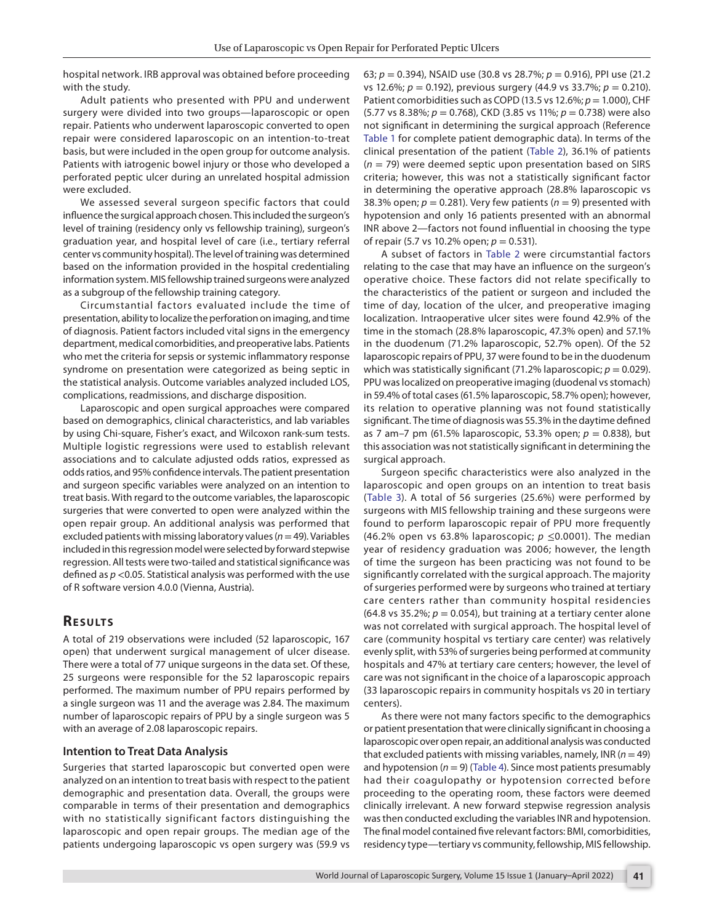hospital network. IRB approval was obtained before proceeding with the study.

Adult patients who presented with PPU and underwent surgery were divided into two groups—laparoscopic or open repair. Patients who underwent laparoscopic converted to open repair were considered laparoscopic on an intention-to-treat basis, but were included in the open group for outcome analysis. Patients with iatrogenic bowel injury or those who developed a perforated peptic ulcer during an unrelated hospital admission were excluded.

We assessed several surgeon specific factors that could influence the surgical approach chosen. This included the surgeon's level of training (residency only vs fellowship training), surgeon's graduation year, and hospital level of care (i.e., tertiary referral center vs community hospital). The level of training was determined based on the information provided in the hospital credentialing information system. MIS fellowship trained surgeons were analyzed as a subgroup of the fellowship training category.

Circumstantial factors evaluated include the time of presentation, ability to localize the perforation on imaging, and time of diagnosis. Patient factors included vital signs in the emergency department, medical comorbidities, and preoperative labs. Patients who met the criteria for sepsis or systemic inflammatory response syndrome on presentation were categorized as being septic in the statistical analysis. Outcome variables analyzed included LOS, complications, readmissions, and discharge disposition.

Laparoscopic and open surgical approaches were compared based on demographics, clinical characteristics, and lab variables by using Chi-square, Fisher's exact, and Wilcoxon rank-sum tests. Multiple logistic regressions were used to establish relevant associations and to calculate adjusted odds ratios, expressed as odds ratios, and 95% confidence intervals. The patient presentation and surgeon specific variables were analyzed on an intention to treat basis. With regard to the outcome variables, the laparoscopic surgeries that were converted to open were analyzed within the open repair group. An additional analysis was performed that excluded patients with missing laboratory values (*n*= 49). Variables included in this regression model were selected by forward stepwise regression. All tests were two-tailed and statistical significance was defined as *p* <0.05. Statistical analysis was performed with the use of R software version 4.0.0 (Vienna, Austria).

# **RESULTS**

A total of 219 observations were included (52 laparoscopic, 167 open) that underwent surgical management of ulcer disease. There were a total of 77 unique surgeons in the data set. Of these, 25 surgeons were responsible for the 52 laparoscopic repairs performed. The maximum number of PPU repairs performed by a single surgeon was 11 and the average was 2.84. The maximum number of laparoscopic repairs of PPU by a single surgeon was 5 with an average of 2.08 laparoscopic repairs.

### **Intention to Treat Data Analysis**

Surgeries that started laparoscopic but converted open were analyzed on an intention to treat basis with respect to the patient demographic and presentation data. Overall, the groups were comparable in terms of their presentation and demographics with no statistically significant factors distinguishing the laparoscopic and open repair groups. The median age of the patients undergoing laparoscopic vs open surgery was (59.9 vs

63; *p* = 0.394), NSAID use (30.8 vs 28.7%; *p* = 0.916), PPI use (21.2 vs 12.6%; *p* = 0.192), previous surgery (44.9 vs 33.7%; *p* = 0.210). Patient comorbidities such as COPD (13.5 vs 12.6%; *p*= 1.000), CHF (5.77 vs 8.38%; *p* = 0.768), CKD (3.85 vs 11%; *p* = 0.738) were also not significant in determining the surgical approach (Reference [Table 1](#page-2-0) for complete patient demographic data). In terms of the clinical presentation of the patient ([Table 2\)](#page-3-0), 36.1% of patients (*n* = 79) were deemed septic upon presentation based on SIRS criteria; however, this was not a statistically significant factor in determining the operative approach (28.8% laparoscopic vs 38.3% open;  $p = 0.281$ ). Very few patients ( $n = 9$ ) presented with hypotension and only 16 patients presented with an abnormal INR above 2—factors not found influential in choosing the type of repair (5.7 vs 10.2% open; *p* = 0.531).

A subset of factors in [Table 2](#page-2-1) were circumstantial factors relating to the case that may have an influence on the surgeon's operative choice. These factors did not relate specifically to the characteristics of the patient or surgeon and included the time of day, location of the ulcer, and preoperative imaging localization. Intraoperative ulcer sites were found 42.9% of the time in the stomach (28.8% laparoscopic, 47.3% open) and 57.1% in the duodenum (71.2% laparoscopic, 52.7% open). Of the 52 laparoscopic repairs of PPU, 37 were found to be in the duodenum which was statistically significant (71.2% laparoscopic;  $p = 0.029$ ). PPU was localized on preoperative imaging (duodenal vs stomach) in 59.4% of total cases (61.5% laparoscopic, 58.7% open); however, its relation to operative planning was not found statistically significant. The time of diagnosis was 55.3% in the daytime defined as 7 am–7 pm (61.5% laparoscopic, 53.3% open; *p* = 0.838), but this association was not statistically significant in determining the surgical approach.

Surgeon specific characteristics were also analyzed in the laparoscopic and open groups on an intention to treat basis ([Table 3](#page-3-1)). A total of 56 surgeries (25.6%) were performed by surgeons with MIS fellowship training and these surgeons were found to perform laparoscopic repair of PPU more frequently (46.2% open vs 63.8% laparoscopic; *p* ≤0.0001). The median year of residency graduation was 2006; however, the length of time the surgeon has been practicing was not found to be significantly correlated with the surgical approach. The majority of surgeries performed were by surgeons who trained at tertiary care centers rather than community hospital residencies (64.8 vs 35.2%;  $p = 0.054$ ), but training at a tertiary center alone was not correlated with surgical approach. The hospital level of care (community hospital vs tertiary care center) was relatively evenly split, with 53% of surgeries being performed at community hospitals and 47% at tertiary care centers; however, the level of care was not significant in the choice of a laparoscopic approach (33 laparoscopic repairs in community hospitals vs 20 in tertiary centers).

As there were not many factors specific to the demographics or patient presentation that were clinically significant in choosing a laparoscopic over open repair, an additional analysis was conducted that excluded patients with missing variables, namely,  $INR (n = 49)$ and hypotension  $(n = 9)$  ([Table 4](#page-3-2)). Since most patients presumably had their coagulopathy or hypotension corrected before proceeding to the operating room, these factors were deemed clinically irrelevant. A new forward stepwise regression analysis was then conducted excluding the variables INR and hypotension. The final model contained five relevant factors: BMI, comorbidities, residency type—tertiary vs community, fellowship, MIS fellowship.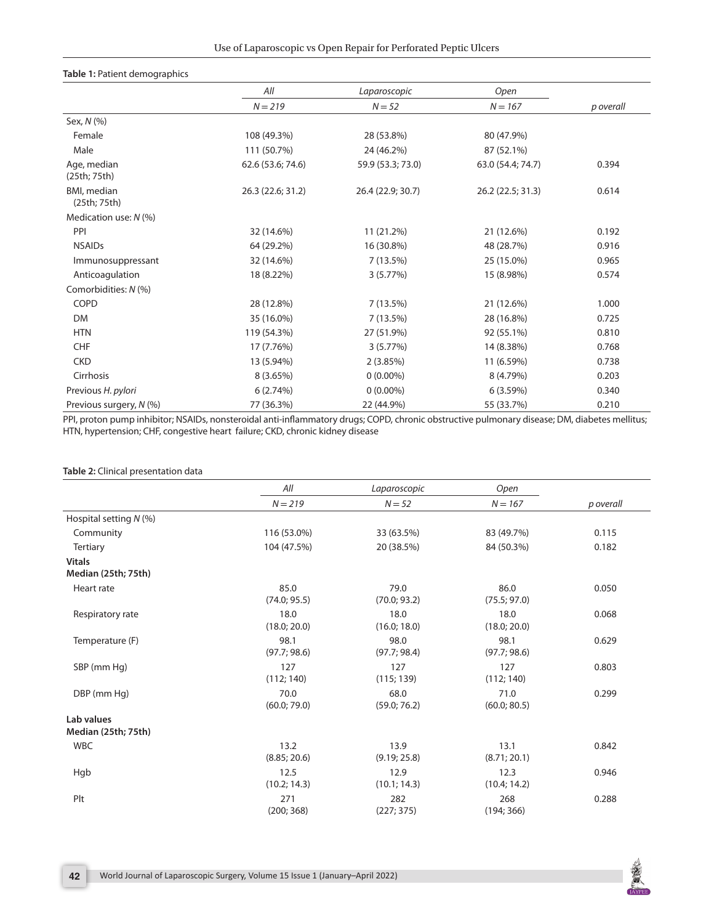#### <span id="page-2-0"></span>**Table 1:** Patient demographics

|                                     | All               | Laparoscopic      | Open              |           |  |
|-------------------------------------|-------------------|-------------------|-------------------|-----------|--|
|                                     | $N = 219$         | $N = 52$          | $N = 167$         | p overall |  |
| Sex, N (%)                          |                   |                   |                   |           |  |
| Female                              | 108 (49.3%)       | 28 (53.8%)        | 80 (47.9%)        |           |  |
| Male                                | 111 (50.7%)       | 24 (46.2%)        | 87 (52.1%)        |           |  |
| Age, median<br>(25th; 75th)         | 62.6 (53.6; 74.6) | 59.9 (53.3; 73.0) | 63.0 (54.4; 74.7) | 0.394     |  |
| <b>BMI</b> , median<br>(25th; 75th) | 26.3 (22.6; 31.2) | 26.4 (22.9; 30.7) | 26.2 (22.5; 31.3) | 0.614     |  |
| Medication use: N (%)               |                   |                   |                   |           |  |
| PPI                                 | 32 (14.6%)        | 11 (21.2%)        | 21 (12.6%)        | 0.192     |  |
| <b>NSAIDs</b>                       | 64 (29.2%)        | 16 (30.8%)        | 48 (28.7%)        | 0.916     |  |
| Immunosuppressant                   | 32 (14.6%)        | 7(13.5%)          | 25 (15.0%)        | 0.965     |  |
| Anticoagulation                     | 18 (8.22%)        | 3(5.77%)          | 15 (8.98%)        | 0.574     |  |
| Comorbidities: N (%)                |                   |                   |                   |           |  |
| COPD                                | 28 (12.8%)        | 7(13.5%)          | 21 (12.6%)        | 1.000     |  |
| <b>DM</b>                           | 35 (16.0%)        | 7(13.5%)          | 28 (16.8%)        | 0.725     |  |
| <b>HTN</b>                          | 119 (54.3%)       | 27 (51.9%)        | 92 (55.1%)        | 0.810     |  |
| <b>CHF</b>                          | 17 (7.76%)        | 3(5.77%)          | 14 (8.38%)        | 0.768     |  |
| <b>CKD</b>                          | 13 (5.94%)        | 2(3.85%)          | 11 (6.59%)        | 0.738     |  |
| Cirrhosis                           | 8(3.65%)          | $0(0.00\%)$       | 8 (4.79%)         | 0.203     |  |
| Previous H. pylori                  | 6(2.74%)          | $0(0.00\%)$       | 6(3.59%)          | 0.340     |  |
| Previous surgery, N (%)             | 77 (36.3%)        | 22 (44.9%)        | 55 (33.7%)        | 0.210     |  |

PPI, proton pump inhibitor; NSAIDs, nonsteroidal anti-inflammatory drugs; COPD, chronic obstructive pulmonary disease; DM, diabetes mellitus; HTN, hypertension; CHF, congestive heart failure; CKD, chronic kidney disease

#### <span id="page-2-1"></span>**Table 2:** Clinical presentation data

|                                      | All                  | Laparoscopic         | Open                 |           |
|--------------------------------------|----------------------|----------------------|----------------------|-----------|
|                                      | $N = 219$            | $N = 52$             | $N = 167$            | p overall |
| Hospital setting $N$ (%)             |                      |                      |                      |           |
| Community                            | 116 (53.0%)          | 33 (63.5%)           | 83 (49.7%)           | 0.115     |
| <b>Tertiary</b>                      | 104 (47.5%)          | 20 (38.5%)           | 84 (50.3%)           | 0.182     |
| <b>Vitals</b><br>Median (25th; 75th) |                      |                      |                      |           |
| Heart rate                           | 85.0<br>(74.0; 95.5) | 79.0<br>(70.0; 93.2) | 86.0<br>(75.5; 97.0) | 0.050     |
| Respiratory rate                     | 18.0<br>(18.0; 20.0) | 18.0<br>(16.0; 18.0) | 18.0<br>(18.0; 20.0) | 0.068     |
| Temperature (F)                      | 98.1<br>(97.7; 98.6) | 98.0<br>(97.7; 98.4) | 98.1<br>(97.7; 98.6) | 0.629     |
| SBP (mm Hg)                          | 127<br>(112; 140)    | 127<br>(115; 139)    | 127<br>(112; 140)    | 0.803     |
| DBP (mm Hg)                          | 70.0<br>(60.0; 79.0) | 68.0<br>(59.0; 76.2) | 71.0<br>(60.0; 80.5) | 0.299     |
| Lab values<br>Median (25th; 75th)    |                      |                      |                      |           |
| <b>WBC</b>                           | 13.2<br>(8.85; 20.6) | 13.9<br>(9.19; 25.8) | 13.1<br>(8.71; 20.1) | 0.842     |
| Hgb                                  | 12.5<br>(10.2; 14.3) | 12.9<br>(10.1; 14.3) | 12.3<br>(10.4; 14.2) | 0.946     |
| Plt                                  | 271<br>(200; 368)    | 282<br>(227; 375)    | 268<br>(194; 366)    | 0.288     |

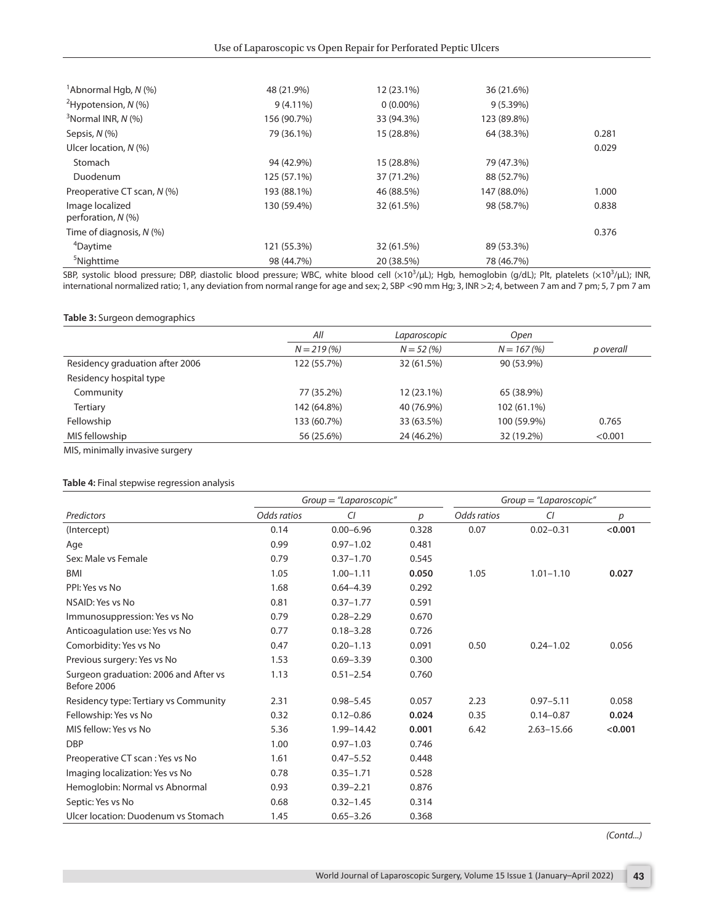<span id="page-3-0"></span>

| <sup>1</sup> Abnormal Hgb, $N$ (%)      | 48 (21.9%)  | 12 (23.1%)  | 36 (21.6%)  |       |
|-----------------------------------------|-------------|-------------|-------------|-------|
| <sup>2</sup> Hypotension, $N$ (%)       | $9(4.11\%)$ | $0(0.00\%)$ | 9(5.39%)    |       |
| $3$ Normal INR, N $(%)$                 | 156 (90.7%) | 33 (94.3%)  | 123 (89.8%) |       |
| Sepsis, N (%)                           | 79 (36.1%)  | 15 (28.8%)  | 64 (38.3%)  | 0.281 |
| Ulcer location, $N$ (%)                 |             |             |             | 0.029 |
| Stomach                                 | 94 (42.9%)  | 15 (28.8%)  | 79 (47.3%)  |       |
| Duodenum                                | 125 (57.1%) | 37 (71.2%)  | 88 (52.7%)  |       |
| Preoperative CT scan, N (%)             | 193 (88.1%) | 46 (88.5%)  | 147 (88.0%) | 1.000 |
| Image localized<br>perforation, $N$ (%) | 130 (59.4%) | 32 (61.5%)  | 98 (58.7%)  | 0.838 |
| Time of diagnosis, $N$ (%)              |             |             |             | 0.376 |
| <sup>4</sup> Daytime                    | 121 (55.3%) | 32 (61.5%)  | 89 (53.3%)  |       |
| <sup>5</sup> Nighttime                  | 98 (44.7%)  | 20 (38.5%)  | 78 (46.7%)  |       |

SBP, systolic blood pressure; DBP, diastolic blood pressure; WBC, white blood cell (x10<sup>3</sup>/µL); Hgb, hemoglobin (g/dL); Plt, platelets (x10<sup>3</sup>/µL); INR, international normalized ratio; 1, any deviation from normal range for age and sex; 2, SBP <90 mm Hg; 3, INR >2; 4, between 7 am and 7 pm; 5, 7 pm 7 am

#### <span id="page-3-1"></span>**Table 3:** Surgeon demographics

|                                 | All         | Laparoscopic | Open         |           |
|---------------------------------|-------------|--------------|--------------|-----------|
|                                 | $N = 219(%$ | $N = 52(%)$  | $N = 167(%)$ | p overall |
| Residency graduation after 2006 | 122 (55.7%) | 32 (61.5%)   | 90 (53.9%)   |           |
| Residency hospital type         |             |              |              |           |
| Community                       | 77 (35.2%)  | 12 (23.1%)   | 65 (38.9%)   |           |
| <b>Tertiary</b>                 | 142 (64.8%) | 40 (76.9%)   | 102 (61.1%)  |           |
| Fellowship                      | 133 (60.7%) | 33 (63.5%)   | 100 (59.9%)  | 0.765     |
| MIS fellowship                  | 56 (25.6%)  | 24 (46.2%)   | 32 (19.2%)   | < 0.001   |

MIS, minimally invasive surgery

#### <span id="page-3-2"></span>**Table 4:** Final stepwise regression analysis

|                                                      | $Group = "Laparoscopic"$ |               | $Group = "Laparoscopic"$ |             |                |         |
|------------------------------------------------------|--------------------------|---------------|--------------------------|-------------|----------------|---------|
| Predictors                                           | Odds ratios              | CI            | р                        | Odds ratios | CI             | р       |
| (Intercept)                                          | 0.14                     | $0.00 - 6.96$ | 0.328                    | 0.07        | $0.02 - 0.31$  | < 0.001 |
| Age                                                  | 0.99                     | $0.97 - 1.02$ | 0.481                    |             |                |         |
| Sex: Male vs Female                                  | 0.79                     | $0.37 - 1.70$ | 0.545                    |             |                |         |
| <b>BMI</b>                                           | 1.05                     | $1.00 - 1.11$ | 0.050                    | 1.05        | $1.01 - 1.10$  | 0.027   |
| PPI: Yes vs No                                       | 1.68                     | $0.64 - 4.39$ | 0.292                    |             |                |         |
| NSAID: Yes vs No                                     | 0.81                     | $0.37 - 1.77$ | 0.591                    |             |                |         |
| Immunosuppression: Yes vs No                         | 0.79                     | $0.28 - 2.29$ | 0.670                    |             |                |         |
| Anticoagulation use: Yes vs No                       | 0.77                     | $0.18 - 3.28$ | 0.726                    |             |                |         |
| Comorbidity: Yes vs No                               | 0.47                     | $0.20 - 1.13$ | 0.091                    | 0.50        | $0.24 - 1.02$  | 0.056   |
| Previous surgery: Yes vs No                          | 1.53                     | $0.69 - 3.39$ | 0.300                    |             |                |         |
| Surgeon graduation: 2006 and After vs<br>Before 2006 | 1.13                     | $0.51 - 2.54$ | 0.760                    |             |                |         |
| Residency type: Tertiary vs Community                | 2.31                     | $0.98 - 5.45$ | 0.057                    | 2.23        | $0.97 - 5.11$  | 0.058   |
| Fellowship: Yes vs No                                | 0.32                     | $0.12 - 0.86$ | 0.024                    | 0.35        | $0.14 - 0.87$  | 0.024   |
| MIS fellow: Yes vs No                                | 5.36                     | 1.99-14.42    | 0.001                    | 6.42        | $2.63 - 15.66$ | < 0.001 |
| <b>DBP</b>                                           | 1.00                     | $0.97 - 1.03$ | 0.746                    |             |                |         |
| Preoperative CT scan: Yes vs No                      | 1.61                     | $0.47 - 5.52$ | 0.448                    |             |                |         |
| Imaging localization: Yes vs No                      | 0.78                     | $0.35 - 1.71$ | 0.528                    |             |                |         |
| Hemoglobin: Normal vs Abnormal                       | 0.93                     | $0.39 - 2.21$ | 0.876                    |             |                |         |
| Septic: Yes vs No                                    | 0.68                     | $0.32 - 1.45$ | 0.314                    |             |                |         |
| Ulcer location: Duodenum vs Stomach                  | 1.45                     | $0.65 - 3.26$ | 0.368                    |             |                |         |

*(Contd...)*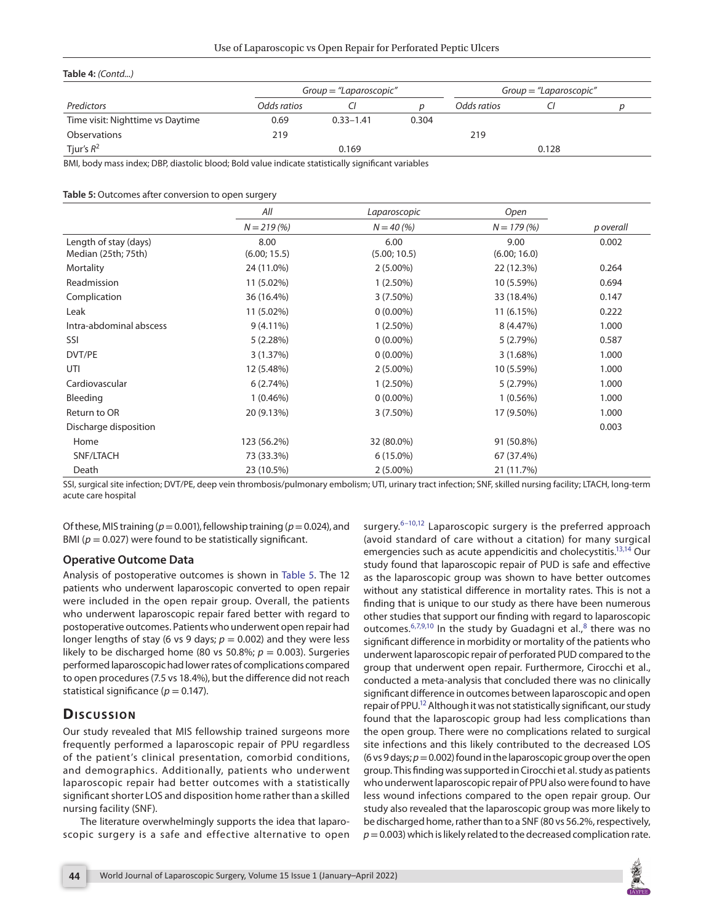| Table 4: (Contd)                 |                          |               |       |                          |       |  |  |
|----------------------------------|--------------------------|---------------|-------|--------------------------|-------|--|--|
|                                  | $Group = "Laparoscopic"$ |               |       | $Group = "Laparoscopic"$ |       |  |  |
| Predictors                       | Odds ratios              |               |       | Odds ratios              |       |  |  |
| Time visit: Nighttime vs Daytime | 0.69                     | $0.33 - 1.41$ | 0.304 |                          |       |  |  |
| Observations                     | 219                      |               |       | 219                      |       |  |  |
| Tjur's $R^2$                     |                          | 0.169         |       |                          | 0.128 |  |  |

BMI, body mass index; DBP, diastolic blood; Bold value indicate statistically significant variables

#### <span id="page-4-0"></span>**Table 5:** Outcomes after conversion to open surgery

|                         | All          | Laparoscopic | Open         |           |
|-------------------------|--------------|--------------|--------------|-----------|
|                         | $N = 219(%)$ | $N = 40(%)$  | $N = 179(%)$ | p overall |
| Length of stay (days)   | 8.00         | 6.00         | 9.00         | 0.002     |
| Median (25th; 75th)     | (6.00; 15.5) | (5.00; 10.5) | (6.00; 16.0) |           |
| Mortality               | 24 (11.0%)   | $2(5.00\%)$  | 22 (12.3%)   | 0.264     |
| Readmission             | 11 (5.02%)   | $1(2.50\%)$  | 10 (5.59%)   | 0.694     |
| Complication            | 36 (16.4%)   | $3(7.50\%)$  | 33 (18.4%)   | 0.147     |
| Leak                    | 11 (5.02%)   | $0(0.00\%)$  | 11 (6.15%)   | 0.222     |
| Intra-abdominal abscess | $9(4.11\%)$  | $1(2.50\%)$  | 8 (4.47%)    | 1.000     |
| SSI                     | 5(2.28%)     | $0(0.00\%)$  | 5(2.79%)     | 0.587     |
| DVT/PE                  | 3(1.37%)     | $0(0.00\%)$  | 3(1.68%)     | 1.000     |
| UTI                     | 12 (5.48%)   | $2(5.00\%)$  | 10 (5.59%)   | 1.000     |
| Cardiovascular          | 6(2.74%)     | $1(2.50\%)$  | 5(2.79%)     | 1.000     |
| Bleeding                | $1(0.46\%)$  | $0(0.00\%)$  | $1(0.56\%)$  | 1.000     |
| Return to OR            | 20 (9.13%)   | $3(7.50\%)$  | 17 (9.50%)   | 1.000     |
| Discharge disposition   |              |              |              | 0.003     |
| Home                    | 123 (56.2%)  | 32 (80.0%)   | 91 (50.8%)   |           |
| SNF/LTACH               | 73 (33.3%)   | $6(15.0\%)$  | 67 (37.4%)   |           |
| Death                   | 23 (10.5%)   | $2(5.00\%)$  | 21 (11.7%)   |           |

SSI, surgical site infection; DVT/PE, deep vein thrombosis/pulmonary embolism; UTI, urinary tract infection; SNF, skilled nursing facility; LTACH, long-term acute care hospital

Of these, MIS training (*p*= 0.001), fellowship training (*p*= 0.024), and BMI ( $p = 0.027$ ) were found to be statistically significant.

#### **Operative Outcome Data**

Analysis of postoperative outcomes is shown in [Table 5](#page-4-0). The 12 patients who underwent laparoscopic converted to open repair were included in the open repair group. Overall, the patients who underwent laparoscopic repair fared better with regard to postoperative outcomes. Patients who underwent open repair had longer lengths of stay (6 vs 9 days;  $p = 0.002$ ) and they were less likely to be discharged home (80 vs 50.8%;  $p = 0.003$ ). Surgeries performed laparoscopic had lower rates of complications compared to open procedures (7.5 vs 18.4%), but the difference did not reach statistical significance ( $p = 0.147$ ).

# **Discussion**

Our study revealed that MIS fellowship trained surgeons more frequently performed a laparoscopic repair of PPU regardless of the patient's clinical presentation, comorbid conditions, and demographics. Additionally, patients who underwent laparoscopic repair had better outcomes with a statistically significant shorter LOS and disposition home rather than a skilled nursing facility (SNF).

The literature overwhelmingly supports the idea that laparoscopic surgery is a safe and effective alternative to open

surgery. $6-10,12$  $6-10,12$  $6-10,12$  Laparoscopic surgery is the preferred approach (avoid standard of care without a citation) for many surgical emergencies such as acute appendicitis and cholecystitis.<sup>13,14</sup> Our study found that laparoscopic repair of PUD is safe and effective as the laparoscopic group was shown to have better outcomes without any statistical difference in mortality rates. This is not a finding that is unique to our study as there have been numerous other studies that support our finding with regard to laparoscopic outcomes.  $6,7,9,10$  $6,7,9,10$  $6,7,9,10$  $6,7,9,10$  In the study by Guadagni et al.,  $8$  there was no significant difference in morbidity or mortality of the patients who underwent laparoscopic repair of perforated PUD compared to the group that underwent open repair. Furthermore, Cirocchi et al., conducted a meta-analysis that concluded there was no clinically significant difference in outcomes between laparoscopic and open repair of PPU.<sup>12</sup> Although it was not statistically significant, our study found that the laparoscopic group had less complications than the open group. There were no complications related to surgical site infections and this likely contributed to the decreased LOS (6 vs 9 days; *p*= 0.002) found in the laparoscopic group over the open group. This finding was supported in Cirocchi et al. study as patients who underwent laparoscopic repair of PPU also were found to have less wound infections compared to the open repair group. Our study also revealed that the laparoscopic group was more likely to be discharged home, rather than to a SNF (80 vs 56.2%, respectively,  $p = 0.003$ ) which is likely related to the decreased complication rate.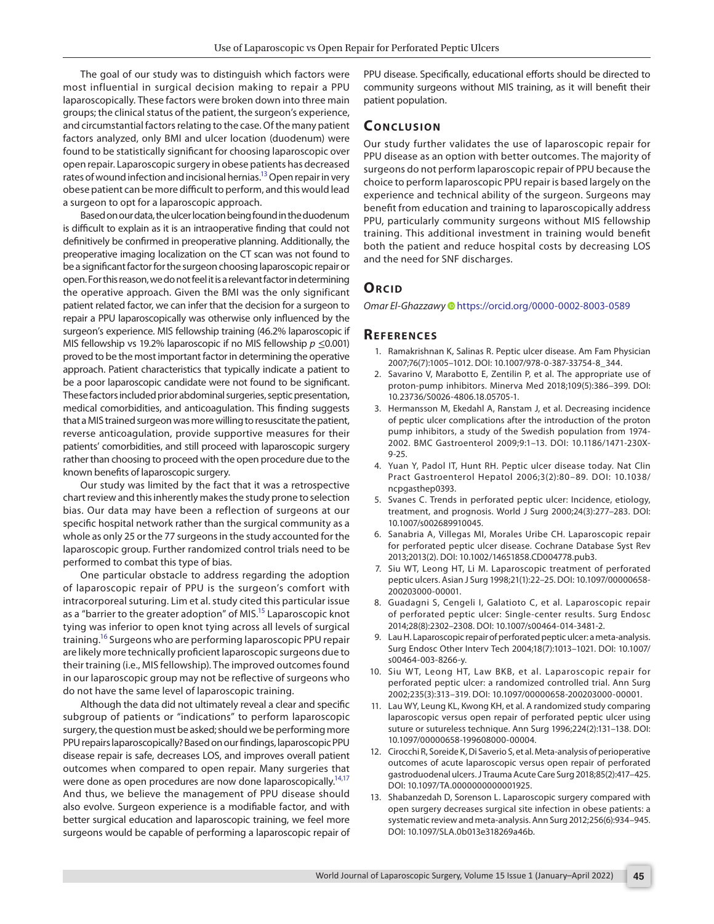The goal of our study was to distinguish which factors were most influential in surgical decision making to repair a PPU laparoscopically. These factors were broken down into three main groups; the clinical status of the patient, the surgeon's experience, and circumstantial factors relating to the case. Of the many patient factors analyzed, only BMI and ulcer location (duodenum) were found to be statistically significant for choosing laparoscopic over open repair. Laparoscopic surgery in obese patients has decreased rates of wound infection and incisional hernias.<sup>13</sup> Open repair in very obese patient can be more difficult to perform, and this would lead a surgeon to opt for a laparoscopic approach.

Based on our data, the ulcer location being found in the duodenum is difficult to explain as it is an intraoperative finding that could not definitively be confirmed in preoperative planning. Additionally, the preoperative imaging localization on the CT scan was not found to be a significant factor for the surgeon choosing laparoscopic repair or open. For this reason, we do not feel it is a relevant factor in determining the operative approach. Given the BMI was the only significant patient related factor, we can infer that the decision for a surgeon to repair a PPU laparoscopically was otherwise only influenced by the surgeon's experience. MIS fellowship training (46.2% laparoscopic if MIS fellowship vs 19.2% laparoscopic if no MIS fellowship *p* ≤0.001) proved to be the most important factor in determining the operative approach. Patient characteristics that typically indicate a patient to be a poor laparoscopic candidate were not found to be significant. These factors included prior abdominal surgeries, septic presentation, medical comorbidities, and anticoagulation. This finding suggests that a MIS trained surgeon was more willing to resuscitate the patient, reverse anticoagulation, provide supportive measures for their patients' comorbidities, and still proceed with laparoscopic surgery rather than choosing to proceed with the open procedure due to the known benefits of laparoscopic surgery.

Our study was limited by the fact that it was a retrospective chart review and this inherently makes the study prone to selection bias. Our data may have been a reflection of surgeons at our specific hospital network rather than the surgical community as a whole as only 25 or the 77 surgeons in the study accounted for the laparoscopic group. Further randomized control trials need to be performed to combat this type of bias.

One particular obstacle to address regarding the adoption of laparoscopic repair of PPU is the surgeon's comfort with intracorporeal suturing. Lim et al. study cited this particular issue as a "barrier to the greater adoption" of MIS.<sup>15</sup> Laparoscopic knot tying was inferior to open knot tying across all levels of surgical training.<sup>16</sup> Surgeons who are performing laparoscopic PPU repair are likely more technically proficient laparoscopic surgeons due to their training (i.e., MIS fellowship). The improved outcomes found in our laparoscopic group may not be reflective of surgeons who do not have the same level of laparoscopic training.

Although the data did not ultimately reveal a clear and specific subgroup of patients or "indications" to perform laparoscopic surgery, the question must be asked; should we be performing more PPU repairs laparoscopically? Based on our findings, laparoscopic PPU disease repair is safe, decreases LOS, and improves overall patient outcomes when compared to open repair. Many surgeries that were done as open procedures are now done laparoscopically.<sup>14[,17](#page-6-3)</sup> And thus, we believe the management of PPU disease should also evolve. Surgeon experience is a modifiable factor, and with better surgical education and laparoscopic training, we feel more surgeons would be capable of performing a laparoscopic repair of

PPU disease. Specifically, educational efforts should be directed to community surgeons without MIS training, as it will benefit their patient population.

## **Conc lusion**

Our study further validates the use of laparoscopic repair for PPU disease as an option with better outcomes. The majority of surgeons do not perform laparoscopic repair of PPU because the choice to perform laparoscopic PPU repair is based largely on the experience and technical ability of the surgeon. Surgeons may benefit from education and training to laparoscopically address PPU, particularly community surgeons without MIS fellowship training. This additional investment in training would benefit both the patient and reduce hospital costs by decreasing LOS and the need for SNF discharges.

#### **ORCID**

*Omar El-Ghazzaw[y](https://orcid.org/0000-0002-8003-0589)* https://orcid.org/0000-0002-8003-0589

#### **Re f er enc es**

- <span id="page-5-0"></span>1. Ramakrishnan K, Salinas R. Peptic ulcer disease. Am Fam Physician 2007;76(7):1005–1012. DOI: 10.1007/978-0-387-33754-8\_344.
- <span id="page-5-1"></span>2. Savarino V, Marabotto E, Zentilin P, et al. The appropriate use of proton-pump inhibitors. Minerva Med 2018;109(5):386–399. DOI: 10.23736/S0026-4806.18.05705-1.
- <span id="page-5-2"></span>3. Hermansson M, Ekedahl A, Ranstam J, et al. Decreasing incidence of peptic ulcer complications after the introduction of the proton pump inhibitors, a study of the Swedish population from 1974- 2002. BMC Gastroenterol 2009;9:1–13. DOI: 10.1186/1471-230X-9-25.
- <span id="page-5-3"></span>4. Yuan Y, Padol IT, Hunt RH. Peptic ulcer disease today. Nat Clin Pract Gastroenterol Hepatol 2006;3(2):80–89. DOI: 10.1038/ ncpgasthep0393.
- <span id="page-5-4"></span>5. Svanes C. Trends in perforated peptic ulcer: Incidence, etiology, treatment, and prognosis. World J Surg 2000;24(3):277–283. DOI: 10.1007/s002689910045.
- <span id="page-5-6"></span>6. Sanabria A, Villegas MI, Morales Uribe CH. Laparoscopic repair for perforated peptic ulcer disease. Cochrane Database Syst Rev 2013;2013(2). DOI: 10.1002/14651858.CD004778.pub3.
- <span id="page-5-10"></span>7. Siu WT, Leong HT, Li M. Laparoscopic treatment of perforated peptic ulcers. Asian J Surg 1998;21(1):22–25. DOI: 10.1097/00000658- 200203000-00001.
- <span id="page-5-12"></span>8. Guadagni S, Cengeli I, Galatioto C, et al. Laparoscopic repair of perforated peptic ulcer: Single-center results. Surg Endosc 2014;28(8):2302–2308. DOI: 10.1007/s00464-014-3481-2.
- <span id="page-5-11"></span>9. Lau H. Laparoscopic repair of perforated peptic ulcer: a meta-analysis. Surg Endosc Other Interv Tech 2004;18(7):1013–1021. DOI: 10.1007/ s00464-003-8266-y.
- <span id="page-5-7"></span>10. Siu WT, Leong HT, Law BKB, et al. Laparoscopic repair for perforated peptic ulcer: a randomized controlled trial. Ann Surg 2002;235(3):313–319. DOI: 10.1097/00000658-200203000-00001.
- <span id="page-5-5"></span>11. Lau WY, Leung KL, Kwong KH, et al. A randomized study comparing laparoscopic versus open repair of perforated peptic ulcer using suture or sutureless technique. Ann Surg 1996;224(2):131–138. DOI: 10.1097/00000658-199608000-00004.
- <span id="page-5-8"></span>12. Cirocchi R, Soreide K, Di Saverio S, et al. Meta-analysis of perioperative outcomes of acute laparoscopic versus open repair of perforated gastroduodenal ulcers. J Trauma Acute Care Surg 2018;85(2):417–425. DOI: 10.1097/TA.0000000000001925.
- <span id="page-5-9"></span>13. Shabanzedah D, Sorenson L. Laparoscopic surgery compared with open surgery decreases surgical site infection in obese patients: a systematic review and meta-analysis. Ann Surg 2012;256(6):934–945. DOI: 10.1097/SLA.0b013e318269a46b.